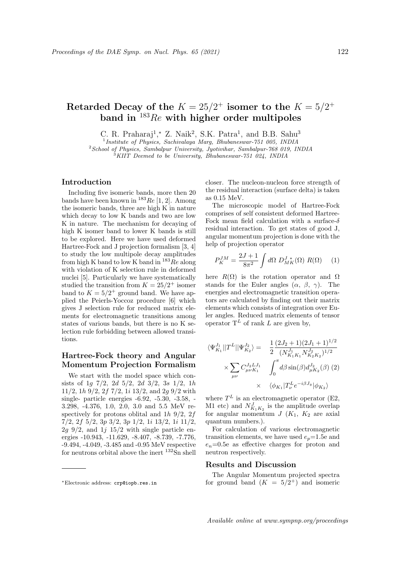# Retarded Decay of the  $K = 25/2^+$  isomer to the  $K = 5/2^+$ band in  $183Re$  with higher order multipoles

C. R. Praharaj<sup>1</sup>,\* Z. Naik<sup>2</sup>, S.K. Patra<sup>1</sup>, and B.B. Sahu<sup>3</sup>

<sup>1</sup> Institute of Physics, Sachivalaya Marg, Bhubaneswar-751 005, INDIA  $^{2}$ School of Physics, Sambalpur University, Jyotivihar, Sambalpur-768 019, INDIA

<sup>3</sup>KIIT Deemed to be University, Bhubaneswar-751 024, INDIA

### Introduction

Including five isomeric bands, more then 20 bands have been known in  $^{183}$ Re [1, 2]. Among the isomeric bands, three are high K in nature which decay to low K bands and two are low K in nature. The mechanism for decaying of high K isomer band to lower K bands is still to be explored. Here we have used deformed Hartree-Fock and J projection formalism [3, 4] to study the low multipole decay amplitudes from high K band to low K band in  $^{183}Re$  along with violation of K selection rule in deformed nuclei [5]. Particularly we have systematically studied the transition from  $K = 25/2^+$  isomer band to  $K = 5/2^+$  ground band. We have applied the Peierls-Yoccoz procedure [6] which gives J selection rule for reduced matrix elements for electromagnetic transitions among states of various bands, but there is no K selection rule forbidding between allowed transitions.

## Hartree-Fock theory and Angular Momentum Projection Formalism

We start with the model space which consists of 1g  $7/2$ , 2d  $5/2$ , 2d  $3/2$ , 3s  $1/2$ , 1h 11/2, 1h 9/2, 2f 7/2, 1i 13/2, and 2g 9/2 with single- particle energies -6.92, -5.30, -3.58, - 3.298, -4.376, 1.0, 2.0, 3.0 and 5.5 MeV respectively for protons oblital and  $1h\left\vert 9/2, 2f\right\vert$ 7/2, 2f 5/2, 3p 3/2, 3p 1/2, 1i 13/2, 1i 11/2,  $2g \frac{9}{2}$ , and  $1j \frac{15}{2}$  with single particle energies -10.943, -11.629, -8.407, -8.739, -7.776, -9.494, -4.049, -3.485 and -0.95 MeV respective for neutrons orbital above the inert  $^{132}$ Sn shell closer. The nucleon-nucleon force strength of the residual interaction (surface delta) is taken as 0.15 MeV.

The microscopic model of Hartree-Fock comprises of self consistent deformed Hartree-Fock mean field calculation with a surface- $\delta$ residual interaction. To get states of good J, angular momentum projection is done with the help of projection operator

$$
P_K^{JM} = \frac{2J+1}{8\pi^2} \int d\Omega \ D_{MK}^{J*}(\Omega) \ R(\Omega) \tag{1}
$$

here  $R(\Omega)$  is the rotation operator and  $\Omega$ stands for the Euler angles  $(\alpha, \beta, \gamma)$ . The energies and electromagnetic transition operators are calculated by finding out their matrix elements which consists of integration over Euler angles. Reduced matrix elements of tensor operator  $T^L$  of rank L are given by,

$$
\langle \Psi_{K_1}^{J_1} || T^L || \Psi_{K_2}^{J_2} \rangle = \frac{1}{2} \frac{(2J_2 + 1)(2J_1 + 1)^{1/2}}{(N_{K_1 K_1}^{J_1} N_{K_2 K_2}^{J_2})^{1/2}} \times \sum_{\mu\nu} C_{\mu\nu K_1}^{J_2 L J_1} \int_0^{\pi} d\beta \sin(\beta) d_{\mu K_2}^{J_2}(\beta) (2) \times \langle \phi_{K_1} | T_{\nu}^{L} e^{-i\beta J_y} | \phi_{K_2} \rangle
$$

where  $T^L$  is an electromagnetic operator (E2, M1 etc) and  $N_{K_1K_2}^J$  is the amplitude overlap for angular momentum  $J(K_1, K_2)$  are axial quantum numbers.).

For calculation of various electromagnetic transition elements, we have used  $e_p=1.5e$  and  $e_n=0.5e$  as effective charges for proton and neutron respectively.

### Results and Discussion

The Angular Momentum projected spectra for ground band  $(K = 5/2^+)$  and isomeric

<sup>∗</sup>Electronic address: crp@iopb.res.in